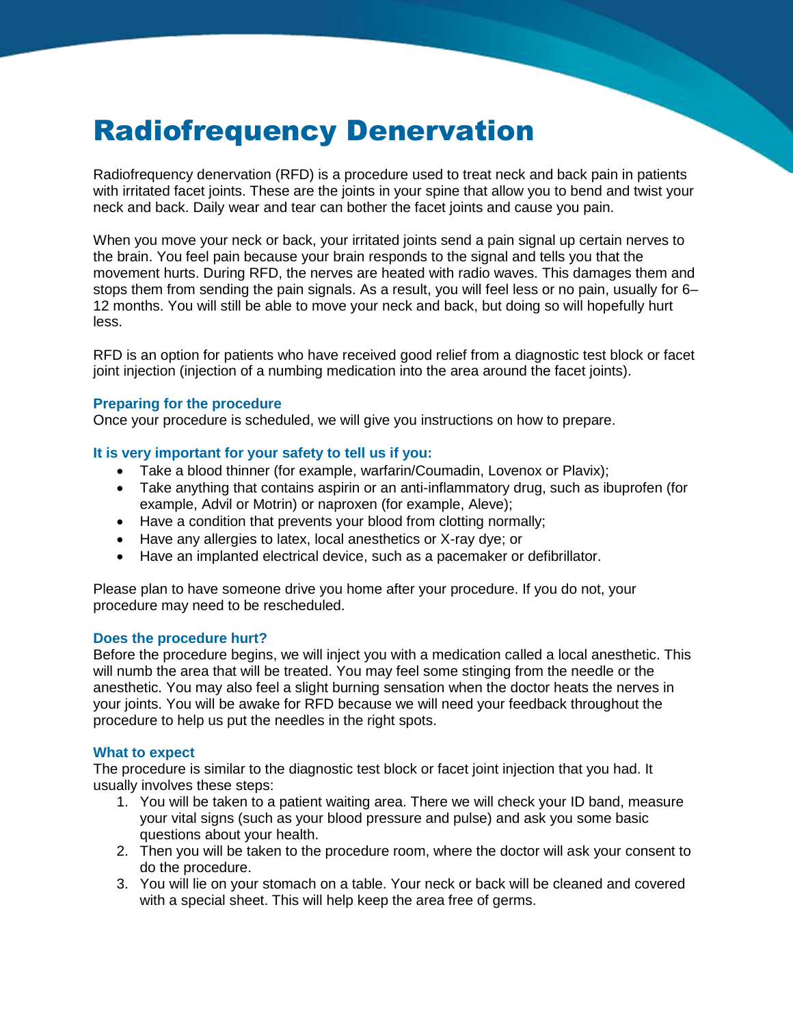# Radiofrequency Denervation

Radiofrequency denervation (RFD) is a procedure used to treat neck and back pain in patients with irritated facet joints. These are the joints in your spine that allow you to bend and twist your neck and back. Daily wear and tear can bother the facet joints and cause you pain.

When you move your neck or back, your irritated joints send a pain signal up certain nerves to the brain. You feel pain because your brain responds to the signal and tells you that the movement hurts. During RFD, the nerves are heated with radio waves. This damages them and stops them from sending the pain signals. As a result, you will feel less or no pain, usually for 6– 12 months. You will still be able to move your neck and back, but doing so will hopefully hurt less.

RFD is an option for patients who have received good relief from a diagnostic test block or facet joint injection (injection of a numbing medication into the area around the facet joints).

# **Preparing for the procedure**

Once your procedure is scheduled, we will give you instructions on how to prepare.

# **It is very important for your safety to tell us if you:**

- Take a blood thinner (for example, warfarin/Coumadin, Lovenox or Plavix);
- Take anything that contains aspirin or an anti-inflammatory drug, such as ibuprofen (for example, Advil or Motrin) or naproxen (for example, Aleve);
- Have a condition that prevents your blood from clotting normally;
- Have any allergies to latex, local anesthetics or X-ray dye; or
- Have an implanted electrical device, such as a pacemaker or defibrillator.

Please plan to have someone drive you home after your procedure. If you do not, your procedure may need to be rescheduled.

#### **Does the procedure hurt?**

Before the procedure begins, we will inject you with a medication called a local anesthetic. This will numb the area that will be treated. You may feel some stinging from the needle or the anesthetic. You may also feel a slight burning sensation when the doctor heats the nerves in your joints. You will be awake for RFD because we will need your feedback throughout the procedure to help us put the needles in the right spots.

#### **What to expect**

The procedure is similar to the diagnostic test block or facet joint injection that you had. It usually involves these steps:

- 1. You will be taken to a patient waiting area. There we will check your ID band, measure your vital signs (such as your blood pressure and pulse) and ask you some basic questions about your health.
- 2. Then you will be taken to the procedure room, where the doctor will ask your consent to do the procedure.
- 3. You will lie on your stomach on a table. Your neck or back will be cleaned and covered with a special sheet. This will help keep the area free of germs.